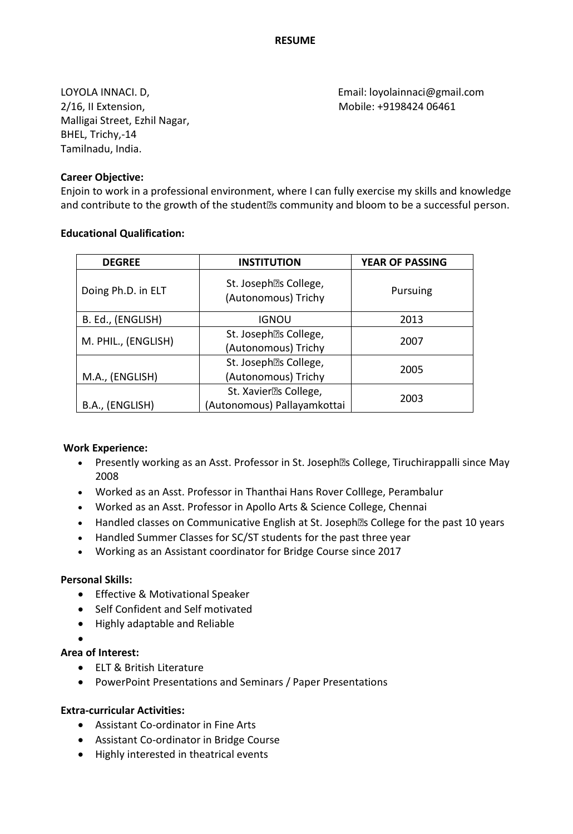2/16, II Extension, Mobile: +9198424 06461 Malligai Street, Ezhil Nagar, BHEL, Trichy,-14 Tamilnadu, India.

**Career Objective:**

LOYOLA INNACI. D, Email: loyolainnaci@gmail.com

Enjoin to work in a professional environment, where I can fully exercise my skills and knowledge and contribute to the growth of the student' s community and bloom to be a successful person.

### **Educational Qualification:**

| <b>DEGREE</b>       | <b>INSTITUTION</b>                           | <b>YEAR OF PASSING</b> |
|---------------------|----------------------------------------------|------------------------|
| Doing Ph.D. in ELT  | St. Joseph's College,<br>(Autonomous) Trichy | Pursuing               |
| B. Ed., (ENGLISH)   | <b>IGNOU</b>                                 | 2013                   |
| M. PHIL., (ENGLISH) | St. Joseph's College,                        | 2007                   |
|                     | (Autonomous) Trichy                          |                        |
|                     | St. Joseph's College,                        | 2005                   |
| M.A., (ENGLISH)     | (Autonomous) Trichy                          |                        |
|                     | St. Xavier's College,                        | 2003                   |
| B.A., (ENGLISH)     | (Autonomous) Pallayamkottai                  |                        |

### **Work Experience:**

- Presently working as an Asst. Professor in St. Joseph' s College, Tiruchirappalli since May 2008
- Worked as an Asst. Professor in Thanthai Hans Rover Colllege, Perambalur
- Worked as an Asst. Professor in Apollo Arts & Science College, Chennai
- Handled classes on Communicative English at St. Joseph' s College for the past 10 years
- Handled Summer Classes for SC/ST students for the past three year
- Working as an Assistant coordinator for Bridge Course since 2017

### **Personal Skills:**

- **•** Effective & Motivational Speaker
- Self Confident and Self motivated
- Highly adaptable and Reliable
- $\bullet$

### **Area of Interest:**

- ELT & British Literature
- PowerPoint Presentations and Seminars / Paper Presentations

### **Extra-curricular Activities:**

- Assistant Co-ordinator in Fine Arts
- Assistant Co-ordinator in Bridge Course
- Highly interested in theatrical events